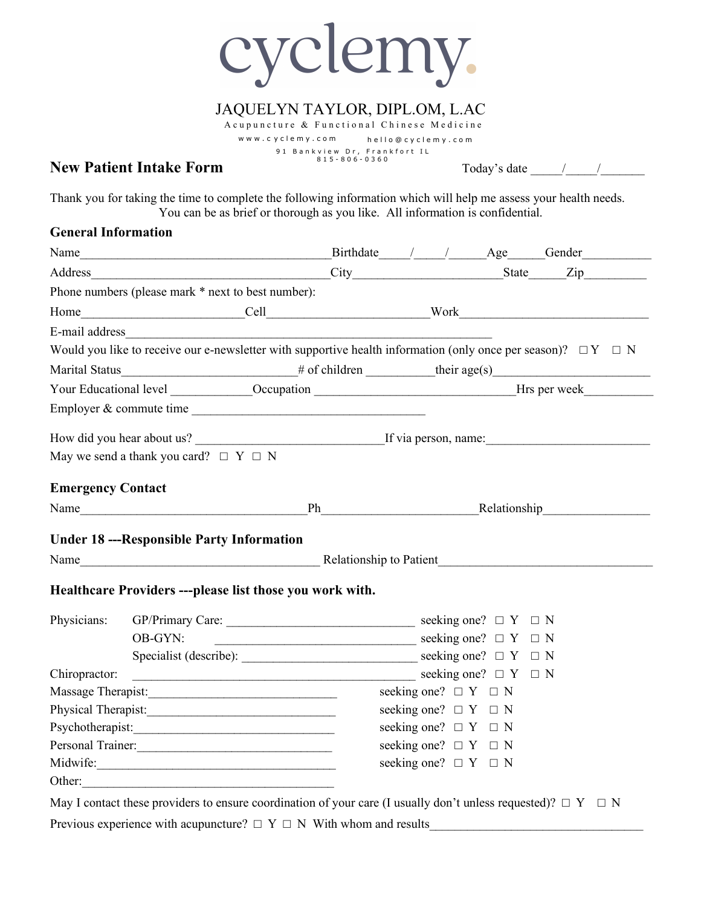cyclemy.

## JAQUELYN TAYLOR, DIPL.OM, L.AC

Acupuncture & Functional Chinese Medicine www.c ycle my.c o m hello @ cyc lemy.c o m 91 Bankview Dr, Frankfort IL<br>815-806-0360

#### **New Patient Intake Form** Today's date \_\_\_\_\_/\_\_\_\_\_/\_\_\_\_\_\_\_

Thank you for taking the time to complete the following information which will help me assess your health needs. You can be as brief or thorough as you like. All information is confidential.

#### **General Information**

|                          | Name                                                                                                                  |                                                                                                          |                                                         |                              |  | Birthdate / / Age Gender                                                                                                                                                                                                       |  |  |
|--------------------------|-----------------------------------------------------------------------------------------------------------------------|----------------------------------------------------------------------------------------------------------|---------------------------------------------------------|------------------------------|--|--------------------------------------------------------------------------------------------------------------------------------------------------------------------------------------------------------------------------------|--|--|
|                          |                                                                                                                       |                                                                                                          |                                                         |                              |  |                                                                                                                                                                                                                                |  |  |
|                          | Phone numbers (please mark * next to best number):                                                                    |                                                                                                          |                                                         |                              |  |                                                                                                                                                                                                                                |  |  |
|                          |                                                                                                                       |                                                                                                          |                                                         |                              |  |                                                                                                                                                                                                                                |  |  |
|                          |                                                                                                                       |                                                                                                          |                                                         |                              |  |                                                                                                                                                                                                                                |  |  |
|                          | Would you like to receive our e-newsletter with supportive health information (only once per season)? $\Box Y \Box N$ |                                                                                                          |                                                         |                              |  |                                                                                                                                                                                                                                |  |  |
|                          |                                                                                                                       |                                                                                                          |                                                         |                              |  |                                                                                                                                                                                                                                |  |  |
|                          |                                                                                                                       |                                                                                                          |                                                         |                              |  | Your Educational level _____________Occupation _______________________________Hrs per week____________________                                                                                                                 |  |  |
|                          | Employer & commute time                                                                                               |                                                                                                          |                                                         |                              |  |                                                                                                                                                                                                                                |  |  |
|                          |                                                                                                                       |                                                                                                          |                                                         |                              |  |                                                                                                                                                                                                                                |  |  |
|                          | May we send a thank you card? $\Box$ Y $\Box$ N                                                                       |                                                                                                          |                                                         |                              |  |                                                                                                                                                                                                                                |  |  |
| <b>Emergency Contact</b> |                                                                                                                       |                                                                                                          |                                                         |                              |  | Name Ph Ph Relationship Relationship Relationship Ph Relationship Relationship New Relationship New Relationship New Relationship New Relationship New Relationship New Relationship New Relationship New Relationship New Rel |  |  |
|                          |                                                                                                                       |                                                                                                          |                                                         |                              |  |                                                                                                                                                                                                                                |  |  |
|                          | <b>Under 18 ---Responsible Party Information</b>                                                                      |                                                                                                          |                                                         |                              |  |                                                                                                                                                                                                                                |  |  |
|                          |                                                                                                                       |                                                                                                          |                                                         |                              |  |                                                                                                                                                                                                                                |  |  |
|                          | Healthcare Providers ---please list those you work with.                                                              |                                                                                                          |                                                         |                              |  |                                                                                                                                                                                                                                |  |  |
| Physicians:              |                                                                                                                       |                                                                                                          |                                                         |                              |  |                                                                                                                                                                                                                                |  |  |
|                          | OB-GYN:                                                                                                               | $\frac{1}{\sqrt{1-\frac{1}{2}}\sqrt{1-\frac{1}{2}}\sqrt{1-\frac{1}{2}}}}$ seeking one? $\Box$ Y $\Box$ N |                                                         |                              |  |                                                                                                                                                                                                                                |  |  |
|                          |                                                                                                                       |                                                                                                          |                                                         |                              |  |                                                                                                                                                                                                                                |  |  |
| Chiropractor:            |                                                                                                                       |                                                                                                          | $\overline{\phantom{a}}$ seeking one? $\Box$ Y $\Box$ N |                              |  |                                                                                                                                                                                                                                |  |  |
|                          |                                                                                                                       |                                                                                                          | seeking one? $\Box Y \Box N$                            |                              |  |                                                                                                                                                                                                                                |  |  |
|                          |                                                                                                                       |                                                                                                          | seeking one? $\Box Y \Box N$                            |                              |  |                                                                                                                                                                                                                                |  |  |
|                          |                                                                                                                       |                                                                                                          |                                                         | seeking one? $\Box Y \Box N$ |  |                                                                                                                                                                                                                                |  |  |
| Personal Trainer:        |                                                                                                                       |                                                                                                          |                                                         | seeking one? $\Box Y \Box N$ |  |                                                                                                                                                                                                                                |  |  |
| Midwife:                 |                                                                                                                       |                                                                                                          | seeking one? $\Box$ Y $\Box$ N                          |                              |  |                                                                                                                                                                                                                                |  |  |
| Other:                   |                                                                                                                       |                                                                                                          |                                                         |                              |  |                                                                                                                                                                                                                                |  |  |

May I contact these providers to ensure coordination of your care (I usually don't unless requested)?  $\Box Y \Box N$ Previous experience with acupuncture?  $\Box Y \Box N$  With whom and results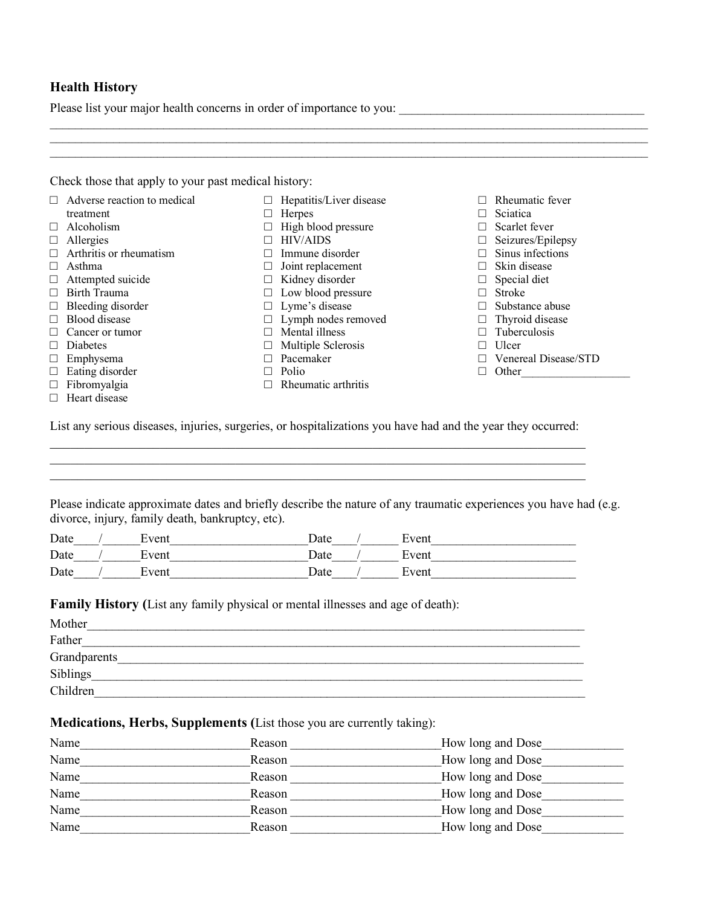#### **Health History**

Please list your major health concerns in order of importance to you: \_\_\_\_\_\_\_\_\_\_\_\_\_\_\_\_\_\_\_\_\_\_\_\_\_\_\_\_\_\_\_\_\_\_\_\_\_\_\_

| $\Box$ Adverse reaction to medical | Hepatitis/Liver disease<br>$\Box$ | Rheumatic fever<br>$\Box$  |
|------------------------------------|-----------------------------------|----------------------------|
| treatment                          | Herpes                            | Sciatica                   |
| Alcoholism<br>π.                   | High blood pressure<br>□          | Scarlet fever<br>$\Box$    |
| Allergies<br>$\Box$                | <b>HIV/AIDS</b><br>П              | Seizures/Epilepsy          |
| Arthritis or rheumatism<br>П.      | Immune disorder<br>$\Box$         | Sinus infections<br>$\Box$ |
| Asthma<br>π.                       | Joint replacement<br>□            | Skin disease               |
| Attempted suicide<br>$\Box$        | Kidney disorder<br>$\Box$         | $\Box$ Special diet        |
| Birth Trauma<br>П                  | Low blood pressure<br>$\Box$      | <b>Stroke</b>              |
| Bleeding disorder<br>$\Box$        | Lyme's disease<br>$\Box$          | Substance abuse<br>$\Box$  |
| Blood disease<br>П                 | $\Box$ Lymph nodes removed        | Thyroid disease            |
| Cancer or tumor                    | Mental illness<br>$\Box$          | Tuberculosis               |
| Diabetes<br>π.                     | Multiple Sclerosis<br>$\Box$      | Ulcer                      |
| Emphysema<br>$\Box$                | Pacemaker<br>$\Box$               | Venereal Disease/STD       |
| $\Box$<br>Eating disorder          | Polio<br>Ш                        | Other<br>П.                |
| $\Box$ Fibromyalgia                | Rheumatic arthritis<br>П          |                            |
| Heart disease<br>П.                |                                   |                            |

Please indicate approximate dates and briefly describe the nature of any traumatic experiences you have had (e.g. divorce, injury, family death, bankruptcy, etc).

\_\_\_\_\_\_\_\_\_\_\_\_\_\_\_\_\_\_\_\_\_\_\_\_\_\_\_\_\_\_\_\_\_\_\_\_\_\_\_\_\_\_\_\_\_\_\_\_\_\_\_\_\_\_\_\_\_\_\_\_\_\_\_\_\_\_\_\_\_\_\_\_\_\_\_\_\_\_

 $\mathcal{L}_\mathcal{L} = \mathcal{L}_\mathcal{L} = \mathcal{L}_\mathcal{L} = \mathcal{L}_\mathcal{L} = \mathcal{L}_\mathcal{L} = \mathcal{L}_\mathcal{L} = \mathcal{L}_\mathcal{L} = \mathcal{L}_\mathcal{L} = \mathcal{L}_\mathcal{L} = \mathcal{L}_\mathcal{L} = \mathcal{L}_\mathcal{L} = \mathcal{L}_\mathcal{L} = \mathcal{L}_\mathcal{L} = \mathcal{L}_\mathcal{L} = \mathcal{L}_\mathcal{L} = \mathcal{L}_\mathcal{L} = \mathcal{L}_\mathcal{L}$ 

| Date | Event | Date | Event |
|------|-------|------|-------|
| Date | ±vent | Date | Event |
| Date | Event | Date | Event |

**Family History (**List any family physical or mental illnesses and age of death):

| Mother       |  |
|--------------|--|
| Father       |  |
| Grandparents |  |
| Siblings     |  |
| Children     |  |

#### **Medications, Herbs, Supplements (**List those you are currently taking):

| Name | Reason | How long and Dose |
|------|--------|-------------------|
| Name | Reason | How long and Dose |
| Name | Reason | How long and Dose |
| Name | Reason | How long and Dose |
| Name | Reason | How long and Dose |
| Name | Reason | How long and Dose |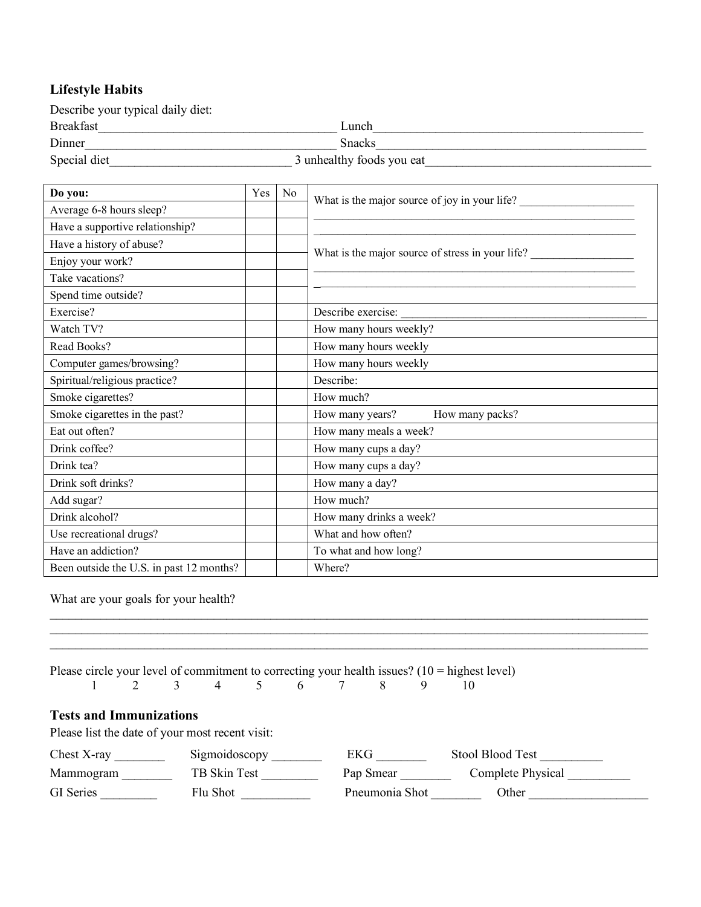## **Lifestyle Habits**

| Describe your typical daily diet: |                           |
|-----------------------------------|---------------------------|
| <b>Breakfast</b>                  | Lunch                     |
| Dinner                            | <b>Snacks</b>             |
| Special diet                      | 3 unhealthy foods you eat |

| Do you:                                  |  | No | What is the major source of joy in your life?    |
|------------------------------------------|--|----|--------------------------------------------------|
| Average 6-8 hours sleep?                 |  |    |                                                  |
| Have a supportive relationship?          |  |    |                                                  |
| Have a history of abuse?                 |  |    |                                                  |
| Enjoy your work?                         |  |    | What is the major source of stress in your life? |
| Take vacations?                          |  |    |                                                  |
| Spend time outside?                      |  |    |                                                  |
| Exercise?                                |  |    | Describe exercise:                               |
| Watch TV?                                |  |    | How many hours weekly?                           |
| Read Books?                              |  |    | How many hours weekly                            |
| Computer games/browsing?                 |  |    | How many hours weekly                            |
| Spiritual/religious practice?            |  |    | Describe:                                        |
| Smoke cigarettes?                        |  |    | How much?                                        |
| Smoke cigarettes in the past?            |  |    | How many years?<br>How many packs?               |
| Eat out often?                           |  |    | How many meals a week?                           |
| Drink coffee?                            |  |    | How many cups a day?                             |
| Drink tea?                               |  |    | How many cups a day?                             |
| Drink soft drinks?                       |  |    | How many a day?                                  |
| Add sugar?                               |  |    | How much?                                        |
| Drink alcohol?                           |  |    | How many drinks a week?                          |
| Use recreational drugs?                  |  |    | What and how often?                              |
| Have an addiction?                       |  |    | To what and how long?                            |
| Been outside the U.S. in past 12 months? |  |    | Where?                                           |

What are your goals for your health?

\_\_\_\_\_\_\_\_\_\_\_\_\_\_\_\_\_\_\_\_\_\_\_\_\_\_\_\_\_\_\_\_\_\_\_\_\_\_\_\_\_\_\_\_\_\_\_\_\_\_\_\_\_\_\_\_\_\_\_\_\_\_\_\_\_\_\_\_\_\_\_\_\_\_\_\_\_\_\_\_\_\_\_\_\_\_\_\_\_\_\_\_\_\_\_

|                                |                                                 |  |  |               |  |  |           |                |   | Please circle your level of commitment to correcting your health issues? $(10 =$ highest level) |
|--------------------------------|-------------------------------------------------|--|--|---------------|--|--|-----------|----------------|---|-------------------------------------------------------------------------------------------------|
|                                |                                                 |  |  |               |  |  | 3 4 5 6 7 | 8              | 9 | 10                                                                                              |
| <b>Tests and Immunizations</b> |                                                 |  |  |               |  |  |           |                |   |                                                                                                 |
|                                | Please list the date of your most recent visit: |  |  |               |  |  |           |                |   |                                                                                                 |
|                                | Chest X-ray                                     |  |  | Sigmoidoscopy |  |  |           | EKG            |   | Stool Blood Test                                                                                |
|                                | Mammogram                                       |  |  | TB Skin Test  |  |  |           | Pap Smear      |   | Complete Physical                                                                               |
| <b>GI</b> Series               |                                                 |  |  | Flu Shot      |  |  |           | Pneumonia Shot |   | Other                                                                                           |

 $\_$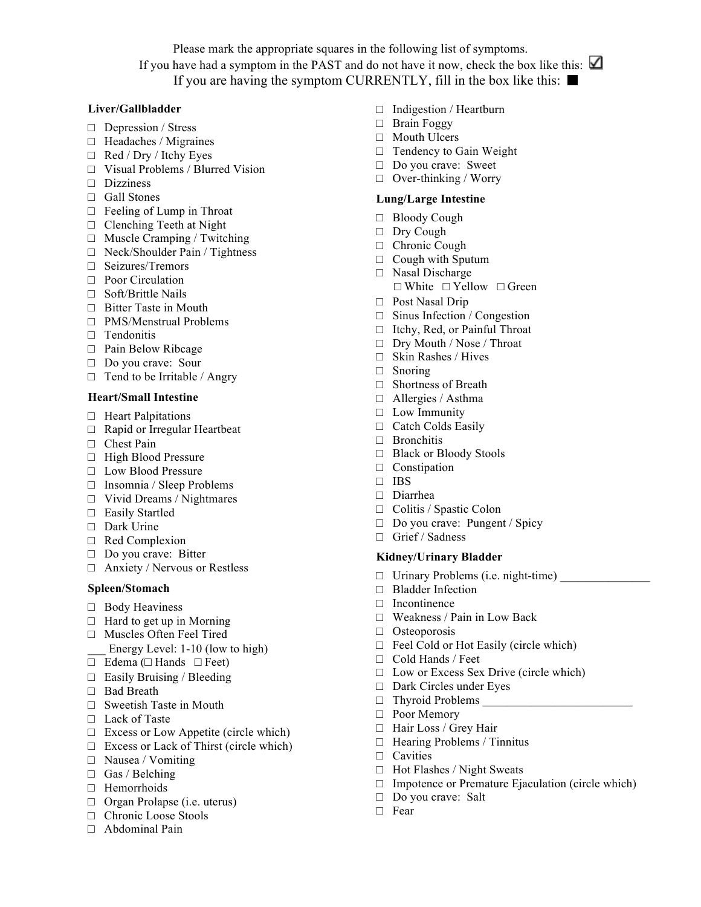Please mark the appropriate squares in the following list of symptoms. If you have had a symptom in the PAST and do not have it now, check the box like this:  $\Box$ If you are having the symptom CURRENTLY, fill in the box like this:  $\blacksquare$ 

#### **Liver/Gallbladder**

- □ Depression / Stress
- $\Box$  Headaches / Migraines
- □ Red / Dry / Itchy Eyes
- □ Visual Problems / Blurred Vision
- □ Dizziness
- □ Gall Stones
- $\Box$  Feeling of Lump in Throat
- □ Clenching Teeth at Night
- □ Muscle Cramping / Twitching
- □ Neck/Shoulder Pain / Tightness
- □ Seizures/Tremors
- □ Poor Circulation
- □ Soft/Brittle Nails
- □ Bitter Taste in Mouth
- □ PMS/Menstrual Problems
- □ Tendonitis
- □ Pain Below Ribcage
- □ Do you crave: Sour
- $\Box$  Tend to be Irritable / Angry

#### **Heart/Small Intestine**

- □ Heart Palpitations
- □ Rapid or Irregular Heartbeat
- □ Chest Pain
- □ High Blood Pressure
- □ Low Blood Pressure
- □ Insomnia / Sleep Problems
- □ Vivid Dreams / Nightmares
- □ Easily Startled
- □ Dark Urine
- □ Red Complexion
- □ Do you crave: Bitter
- □ Anxiety / Nervous or Restless

#### **Spleen/Stomach**

- □ Body Heaviness
- $\Box$  Hard to get up in Morning
- □ Muscles Often Feel Tired
- Energy Level: 1-10 (low to high)
- □ Edema (□ Hands □ Feet)
- □ Easily Bruising / Bleeding
- □ Bad Breath
- $\Box$  Sweetish Taste in Mouth
- □ Lack of Taste
- $\Box$  Excess or Low Appetite (circle which)
- $\Box$  Excess or Lack of Thirst (circle which)
- □ Nausea / Vomiting
- $\Box$  Gas / Belching
- □ Hemorrhoids
- □ Organ Prolapse (i.e. uterus)
- □ Chronic Loose Stools
- $\Box$  Abdominal Pain
- □ Indigestion / Heartburn
- □ Brain Foggy
- □ Mouth Ulcers
- □ Tendency to Gain Weight
- □ Do you crave: Sweet
- □ Over-thinking / Worry

#### **Lung/Large Intestine**

- □ Bloody Cough
- □ Dry Cough
- □ Chronic Cough
- $\Box$  Cough with Sputum
- □ Nasal Discharge □ White □ Yellow □ Green
- □ Post Nasal Drip
- □ Sinus Infection / Congestion
- □ Itchy, Red, or Painful Throat
- □ Dry Mouth / Nose / Throat
- □ Skin Rashes / Hives
- □ Snoring
- □ Shortness of Breath
- □ Allergies / Asthma
- □ Low Immunity
- □ Catch Colds Easily
- □ Bronchitis
- □ Black or Bloody Stools
- □ Constipation
- □ IBS
- □ Diarrhea
- □ Colitis / Spastic Colon
- □ Do you crave: Pungent / Spicy
- □ Grief / Sadness

#### **Kidney/Urinary Bladder**

- $\Box$  Urinary Problems (i.e. night-time)
- □ Bladder Infection
- $\neg$  Incontinence
- □ Weakness / Pain in Low Back
- □ Osteoporosis
- □ Feel Cold or Hot Easily (circle which)
- □ Cold Hands / Feet
- □ Low or Excess Sex Drive (circle which)
- □ Dark Circles under Eyes
- $\Box$  Thyroid Problems
- □ Poor Memory
- □ Hair Loss / Grey Hair
- □ Hearing Problems / Tinnitus
- □ Cavities

□ Fear

- □ Hot Flashes / Night Sweats
- $\Box$  Impotence or Premature Ejaculation (circle which)
- □ Do you crave: Salt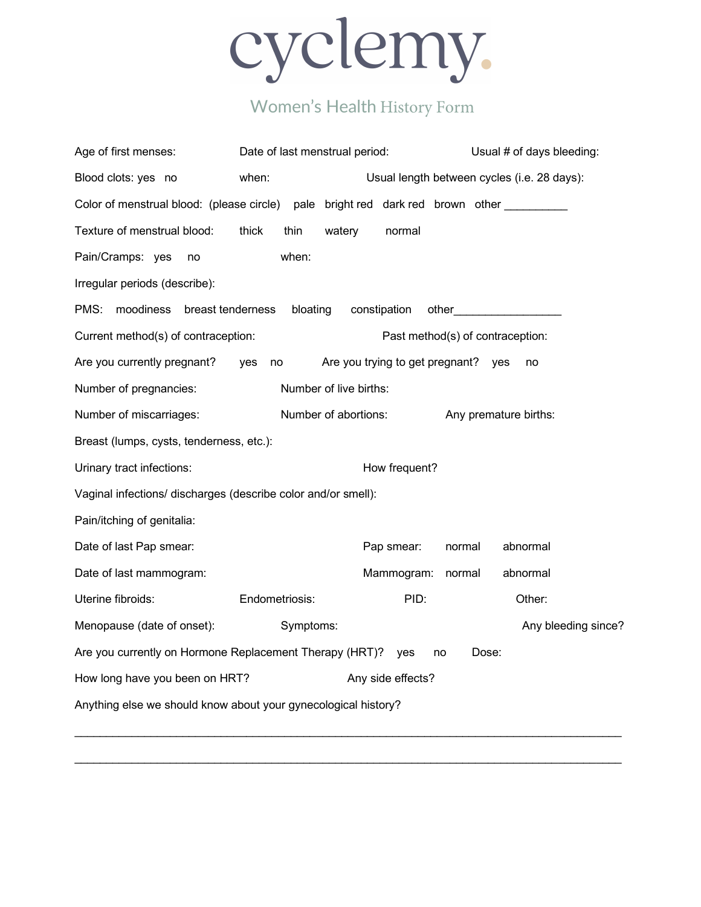

# Women's Health History Form

| Age of first menses:                                                           | Date of last menstrual period:                      |                                 | Usual # of days bleeding:                   |  |  |  |  |  |
|--------------------------------------------------------------------------------|-----------------------------------------------------|---------------------------------|---------------------------------------------|--|--|--|--|--|
| Blood clots: yes no                                                            | when:                                               |                                 | Usual length between cycles (i.e. 28 days): |  |  |  |  |  |
| Color of menstrual blood: (please circle) pale bright red dark red brown other |                                                     |                                 |                                             |  |  |  |  |  |
| Texture of menstrual blood:                                                    | thick<br>thin                                       | watery<br>normal                |                                             |  |  |  |  |  |
| Pain/Cramps: yes<br>no                                                         | when:                                               |                                 |                                             |  |  |  |  |  |
| Irregular periods (describe):                                                  |                                                     |                                 |                                             |  |  |  |  |  |
| PMS:<br>moodiness<br>breast tenderness                                         | bloating                                            | constipation                    |                                             |  |  |  |  |  |
| Current method(s) of contraception:                                            |                                                     |                                 | Past method(s) of contraception:            |  |  |  |  |  |
| Are you currently pregnant?                                                    | yes<br>no                                           | Are you trying to get pregnant? | ves<br>no                                   |  |  |  |  |  |
| Number of pregnancies:                                                         |                                                     | Number of live births:          |                                             |  |  |  |  |  |
| Number of miscarriages:                                                        |                                                     | Number of abortions:            | Any premature births:                       |  |  |  |  |  |
| Breast (lumps, cysts, tenderness, etc.):                                       |                                                     |                                 |                                             |  |  |  |  |  |
| Urinary tract infections:<br>How frequent?                                     |                                                     |                                 |                                             |  |  |  |  |  |
| Vaginal infections/ discharges (describe color and/or smell):                  |                                                     |                                 |                                             |  |  |  |  |  |
| Pain/itching of genitalia:                                                     |                                                     |                                 |                                             |  |  |  |  |  |
| Date of last Pap smear:                                                        |                                                     | Pap smear:                      | abnormal<br>normal                          |  |  |  |  |  |
| Date of last mammogram:                                                        |                                                     | Mammogram:                      | abnormal<br>normal                          |  |  |  |  |  |
| Uterine fibroids:                                                              | Endometriosis:                                      | PID:                            | Other:                                      |  |  |  |  |  |
| Menopause (date of onset):                                                     | Symptoms:                                           |                                 | Any bleeding since?                         |  |  |  |  |  |
| Are you currently on Hormone Replacement Therapy (HRT)? yes<br>Dose:<br>no     |                                                     |                                 |                                             |  |  |  |  |  |
|                                                                                | How long have you been on HRT?<br>Any side effects? |                                 |                                             |  |  |  |  |  |
| Anything else we should know about your gynecological history?                 |                                                     |                                 |                                             |  |  |  |  |  |

\_\_\_\_\_\_\_\_\_\_\_\_\_\_\_\_\_\_\_\_\_\_\_\_\_\_\_\_\_\_\_\_\_\_\_\_\_\_\_\_\_\_\_\_\_\_\_\_\_\_\_\_\_\_\_\_\_\_\_\_\_\_\_\_\_\_\_\_\_\_\_\_\_\_\_\_\_\_\_\_\_\_\_\_\_\_

\_\_\_\_\_\_\_\_\_\_\_\_\_\_\_\_\_\_\_\_\_\_\_\_\_\_\_\_\_\_\_\_\_\_\_\_\_\_\_\_\_\_\_\_\_\_\_\_\_\_\_\_\_\_\_\_\_\_\_\_\_\_\_\_\_\_\_\_\_\_\_\_\_\_\_\_\_\_\_\_\_\_\_\_\_\_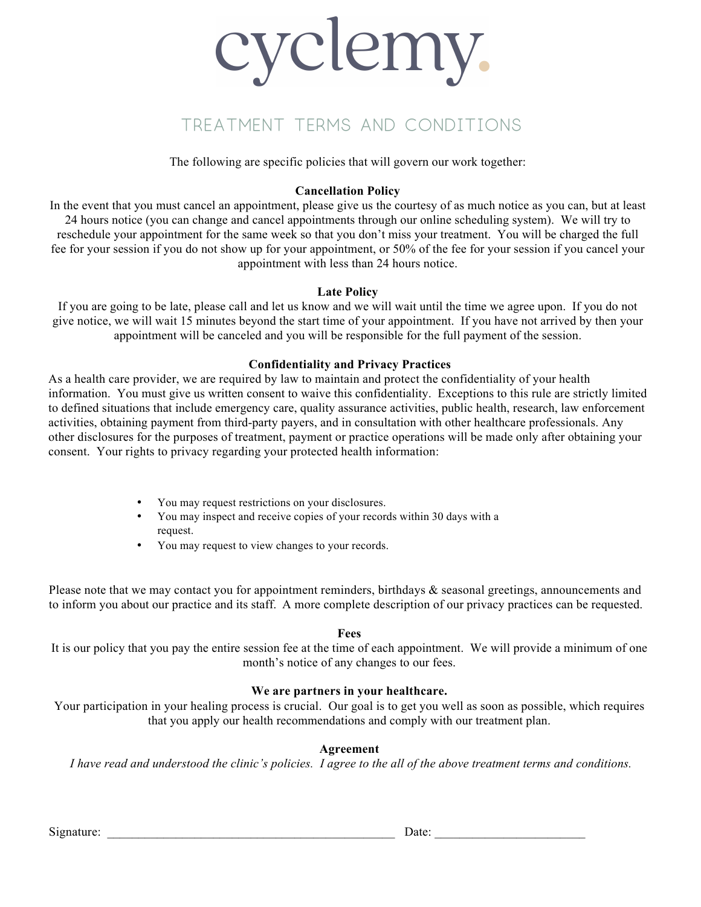# cyclemy.

# Treatment Terms and Conditions

The following are specific policies that will govern our work together:

#### **Cancellation Policy**

In the event that you must cancel an appointment, please give us the courtesy of as much notice as you can, but at least 24 hours notice (you can change and cancel appointments through our online scheduling system). We will try to reschedule your appointment for the same week so that you don't miss your treatment. You will be charged the full fee for your session if you do not show up for your appointment, or 50% of the fee for your session if you cancel your appointment with less than 24 hours notice.

#### **Late Policy**

If you are going to be late, please call and let us know and we will wait until the time we agree upon. If you do not give notice, we will wait 15 minutes beyond the start time of your appointment. If you have not arrived by then your appointment will be canceled and you will be responsible for the full payment of the session.

#### **Confidentiality and Privacy Practices**

As a health care provider, we are required by law to maintain and protect the confidentiality of your health information. You must give us written consent to waive this confidentiality. Exceptions to this rule are strictly limited to defined situations that include emergency care, quality assurance activities, public health, research, law enforcement activities, obtaining payment from third-party payers, and in consultation with other healthcare professionals. Any other disclosures for the purposes of treatment, payment or practice operations will be made only after obtaining your consent. Your rights to privacy regarding your protected health information:

- You may request restrictions on your disclosures.
- You may inspect and receive copies of your records within 30 days with a request.
- You may request to view changes to your records.

Please note that we may contact you for appointment reminders, birthdays & seasonal greetings, announcements and to inform you about our practice and its staff. A more complete description of our privacy practices can be requested.

#### **Fees**

It is our policy that you pay the entire session fee at the time of each appointment. We will provide a minimum of one month's notice of any changes to our fees.

#### **We are partners in your healthcare.**

Your participation in your healing process is crucial. Our goal is to get you well as soon as possible, which requires that you apply our health recommendations and comply with our treatment plan.

#### **Agreement**

*I have read and understood the clinic's policies. I agree to the all of the above treatment terms and conditions.* 

Signature: \_\_\_\_\_\_\_\_\_\_\_\_\_\_\_\_\_\_\_\_\_\_\_\_\_\_\_\_\_\_\_\_\_\_\_\_\_\_\_\_\_\_\_\_\_\_ Date: \_\_\_\_\_\_\_\_\_\_\_\_\_\_\_\_\_\_\_\_\_\_\_\_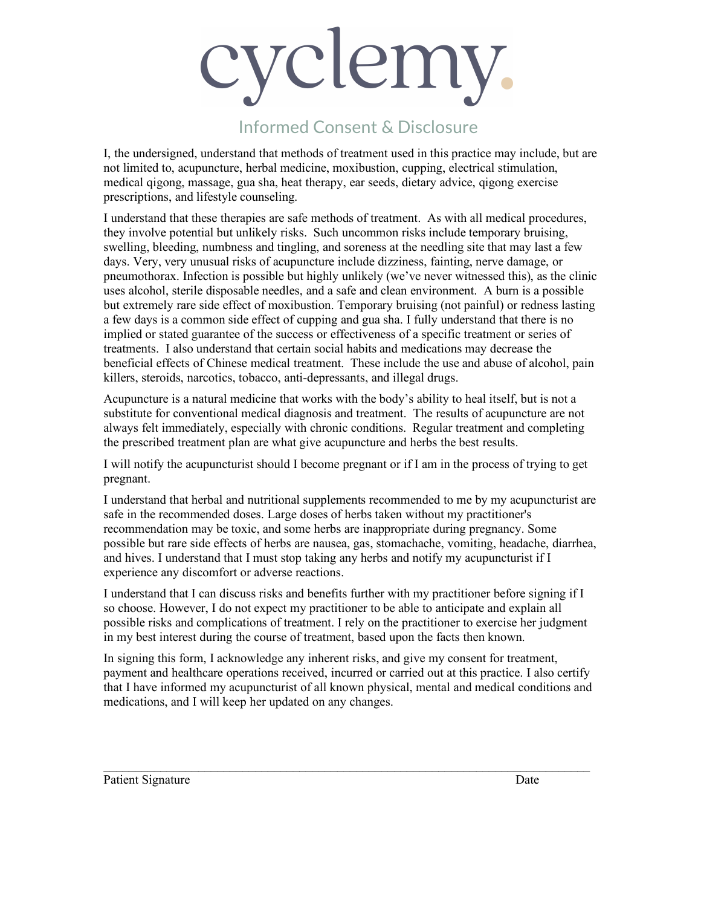# cyclemy.

# Informed Consent & Disclosure

I, the undersigned, understand that methods of treatment used in this practice may include, but are not limited to, acupuncture, herbal medicine, moxibustion, cupping, electrical stimulation, medical qigong, massage, gua sha, heat therapy, ear seeds, dietary advice, qigong exercise prescriptions, and lifestyle counseling.

I understand that these therapies are safe methods of treatment. As with all medical procedures, they involve potential but unlikely risks. Such uncommon risks include temporary bruising, swelling, bleeding, numbness and tingling, and soreness at the needling site that may last a few days. Very, very unusual risks of acupuncture include dizziness, fainting, nerve damage, or pneumothorax. Infection is possible but highly unlikely (we've never witnessed this), as the clinic uses alcohol, sterile disposable needles, and a safe and clean environment. A burn is a possible but extremely rare side effect of moxibustion. Temporary bruising (not painful) or redness lasting a few days is a common side effect of cupping and gua sha. I fully understand that there is no implied or stated guarantee of the success or effectiveness of a specific treatment or series of treatments. I also understand that certain social habits and medications may decrease the beneficial effects of Chinese medical treatment. These include the use and abuse of alcohol, pain killers, steroids, narcotics, tobacco, anti-depressants, and illegal drugs.

Acupuncture is a natural medicine that works with the body's ability to heal itself, but is not a substitute for conventional medical diagnosis and treatment. The results of acupuncture are not always felt immediately, especially with chronic conditions. Regular treatment and completing the prescribed treatment plan are what give acupuncture and herbs the best results.

I will notify the acupuncturist should I become pregnant or if I am in the process of trying to get pregnant.

I understand that herbal and nutritional supplements recommended to me by my acupuncturist are safe in the recommended doses. Large doses of herbs taken without my practitioner's recommendation may be toxic, and some herbs are inappropriate during pregnancy. Some possible but rare side effects of herbs are nausea, gas, stomachache, vomiting, headache, diarrhea, and hives. I understand that I must stop taking any herbs and notify my acupuncturist if I experience any discomfort or adverse reactions.

I understand that I can discuss risks and benefits further with my practitioner before signing if I so choose. However, I do not expect my practitioner to be able to anticipate and explain all possible risks and complications of treatment. I rely on the practitioner to exercise her judgment in my best interest during the course of treatment, based upon the facts then known.

In signing this form, I acknowledge any inherent risks, and give my consent for treatment, payment and healthcare operations received, incurred or carried out at this practice. I also certify that I have informed my acupuncturist of all known physical, mental and medical conditions and medications, and I will keep her updated on any changes.

 $\mathcal{L}_\mathcal{L} = \{ \mathcal{L}_\mathcal{L} = \{ \mathcal{L}_\mathcal{L} = \{ \mathcal{L}_\mathcal{L} = \{ \mathcal{L}_\mathcal{L} = \{ \mathcal{L}_\mathcal{L} = \{ \mathcal{L}_\mathcal{L} = \{ \mathcal{L}_\mathcal{L} = \{ \mathcal{L}_\mathcal{L} = \{ \mathcal{L}_\mathcal{L} = \{ \mathcal{L}_\mathcal{L} = \{ \mathcal{L}_\mathcal{L} = \{ \mathcal{L}_\mathcal{L} = \{ \mathcal{L}_\mathcal{L} = \{ \mathcal{L}_\mathcal{$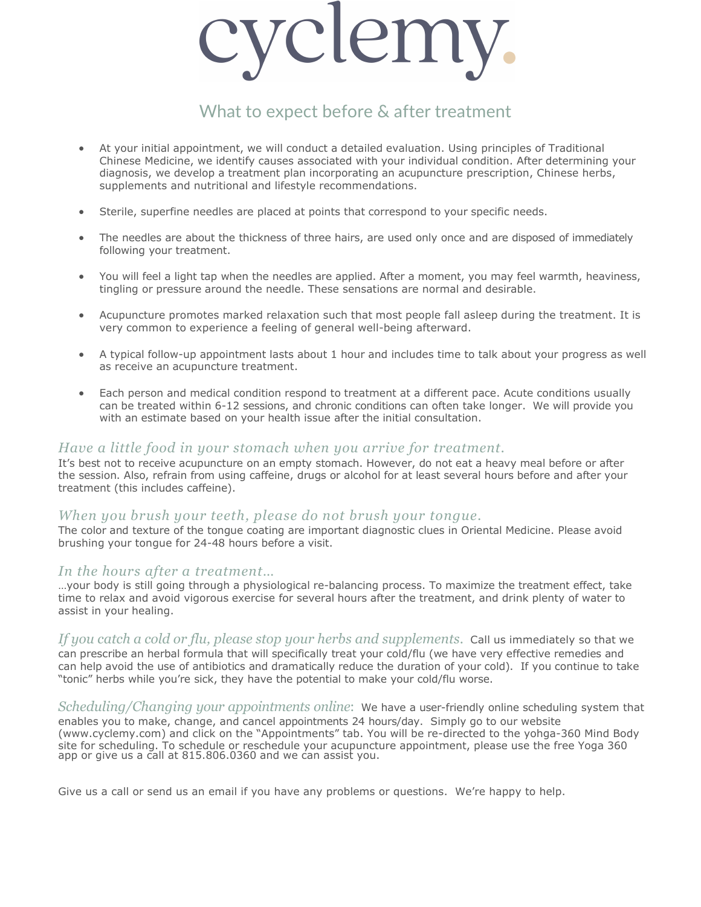

# What to expect before & after treatment

- At your initial appointment, we will conduct a detailed evaluation. Using principles of Traditional Chinese Medicine, we identify causes associated with your individual condition. After determining your diagnosis, we develop a treatment plan incorporating an acupuncture prescription, Chinese herbs, supplements and nutritional and lifestyle recommendations.
- Sterile, superfine needles are placed at points that correspond to your specific needs.
- The needles are about the thickness of three hairs, are used only once and are disposed of immediately following your treatment.
- You will feel a light tap when the needles are applied. After a moment, you may feel warmth, heaviness, tingling or pressure around the needle. These sensations are normal and desirable.
- Acupuncture promotes marked relaxation such that most people fall asleep during the treatment. It is very common to experience a feeling of general well-being afterward.
- A typical follow-up appointment lasts about 1 hour and includes time to talk about your progress as well as receive an acupuncture treatment.
- Each person and medical condition respond to treatment at a different pace. Acute conditions usually can be treated within 6-12 sessions, and chronic conditions can often take longer. We will provide you with an estimate based on your health issue after the initial consultation.

#### *Have a little food in your stomach when you arrive for treatment.*

It's best not to receive acupuncture on an empty stomach. However, do not eat a heavy meal before or after the session. Also, refrain from using caffeine, drugs or alcohol for at least several hours before and after your treatment (this includes caffeine).

#### *When you brush your teeth, please do not brush your tongue.*

The color and texture of the tongue coating are important diagnostic clues in Oriental Medicine. Please avoid brushing your tongue for 24-48 hours before a visit.

#### *In the hours after a treatment…*

…your body is still going through a physiological re-balancing process. To maximize the treatment effect, take time to relax and avoid vigorous exercise for several hours after the treatment, and drink plenty of water to assist in your healing.

*If you catch a cold or flu, please stop your herbs and supplements*. Call us immediately so that we can prescribe an herbal formula that will specifically treat your cold/flu (we have very effective remedies and can help avoid the use of antibiotics and dramatically reduce the duration of your cold). If you continue to take "tonic" herbs while you're sick, they have the potential to make your cold/flu worse.

*Scheduling/Changing your appointments online*: We have a user-friendly online scheduling system that enables you to make, change, and cancel appointments 24 hours/day. Simply go to our website (www.cyclemy.com) and click on the "Appointments" tab. You will be re-directed to the yohga-360 Mind Body site for scheduling. To schedule or reschedule your acupuncture appointment, please use the free Yoga 360 app or give us a call at 815.806.0360 and we can assist you.

Give us a call or send us an email if you have any problems or questions. We're happy to help.